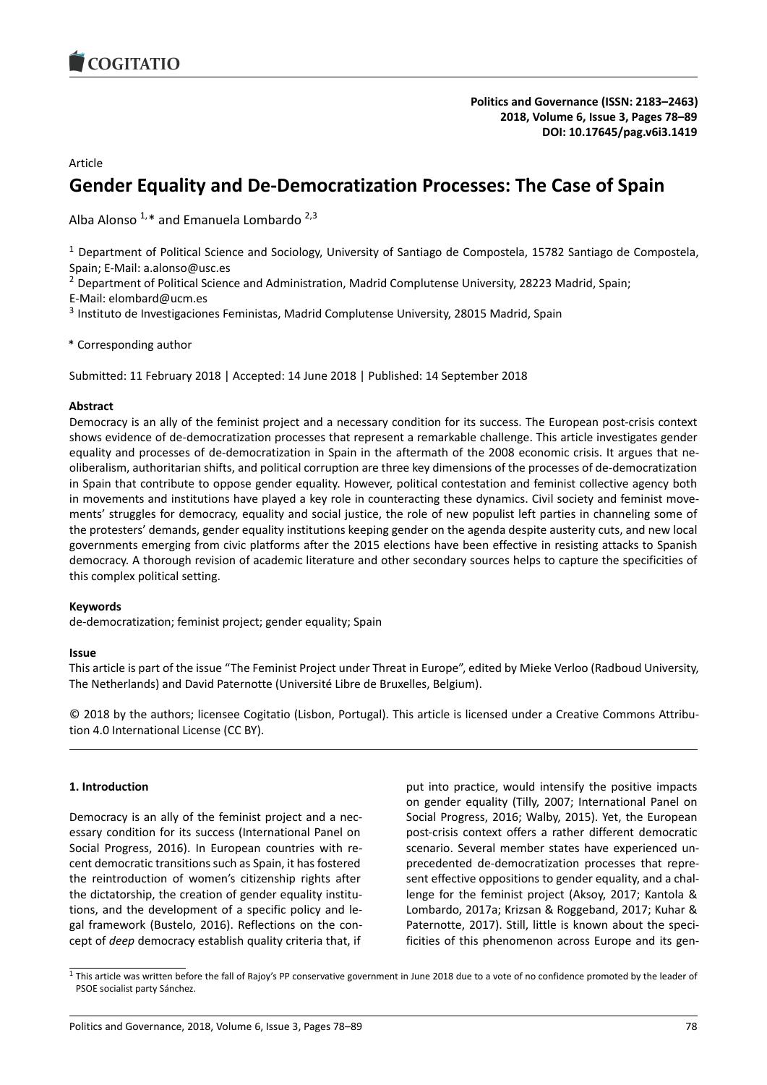

# Article

# **Gender Equality and De-Democratization Processes: The Case of Spain**

Alba Alonso  $1,*$  and Emanuela Lombardo  $2,3$ 

<sup>1</sup> Department of Political Science and Sociology, University of Santiago de Compostela, 15782 Santiago de Compostela, Spain; E-Mail: a.alonso@usc.es

<sup>2</sup> Department of Political Science and Administration, Madrid Complutense University, 28223 Madrid, Spain; E-Mail: elombard@ucm.es

<sup>3</sup> Instituto de Investigaciones Feministas, Madrid Complutense University, 28015 Madrid, Spain

\* Corresponding author

Submitted: 11 February 2018 | Accepted: 14 June 2018 | Published: 14 September 2018

# **Abstract**

Democracy is an ally of the feminist project and a necessary condition for its success. The European post-crisis context shows evidence of de-democratization processes that represent a remarkable challenge. This article investigates gender equality and processes of de-democratization in Spain in the aftermath of the 2008 economic crisis. It argues that neoliberalism, authoritarian shifts, and political corruption are three key dimensions of the processes of de-democratization in Spain that contribute to oppose gender equality. However, political contestation and feminist collective agency both in movements and institutions have played a key role in counteracting these dynamics. Civil society and feminist movements' struggles for democracy, equality and social justice, the role of new populist left parties in channeling some of the protesters' demands, gender equality institutions keeping gender on the agenda despite austerity cuts, and new local governments emerging from civic platforms after the 2015 elections have been effective in resisting attacks to Spanish democracy. A thorough revision of academic literature and other secondary sources helps to capture the specificities of this complex political setting.

### **Keywords**

de-democratization; feminist project; gender equality; Spain

### **Issue**

This article is part of the issue "The Feminist Project under Threat in Europe", edited by Mieke Verloo (Radboud University, The Netherlands) and David Paternotte (Université Libre de Bruxelles, Belgium).

© 2018 by the authors; licensee Cogitatio (Lisbon, Portugal). This article is licensed under a Creative Commons Attribution 4.0 International License (CC BY).

# **1. Introduction**

Democracy is an ally of the feminist project and a necessary condition for its success (International Panel on Social Progress, 2016). In European countries with recent democratic transitions such as Spain, it has fostered the reintroduction of women's citizenship rights after the dictatorship, the creation of gender equality institutions, and the development of a specific policy and legal framework (Bustelo, 2016). Reflections on the concept of *deep* democracy establish quality criteria that, if

put into practice, would intensify the positive impacts on gender equality (Tilly, 2007; International Panel on Social Progress, 2016; Walby, 2015). Yet, the European post-crisis context offers a rather different democratic scenario. Several member states have experienced unprecedented de-democratization processes that represent effective oppositions to gender equality, and a challenge for the feminist project (Aksoy, 2017; Kantola & Lombardo, 2017a; Krizsan & Roggeband, 2017; Kuhar & Paternotte, 2017). Still, little is known about the specificities of this phenomenon across Europe and its gen-

<span id="page-0-0"></span> $1$  This article was written before the fall of Rajoy's PP conservative government in June 2018 due to a vote of no confidence promoted by the leader of PSOE socialist party Sánchez.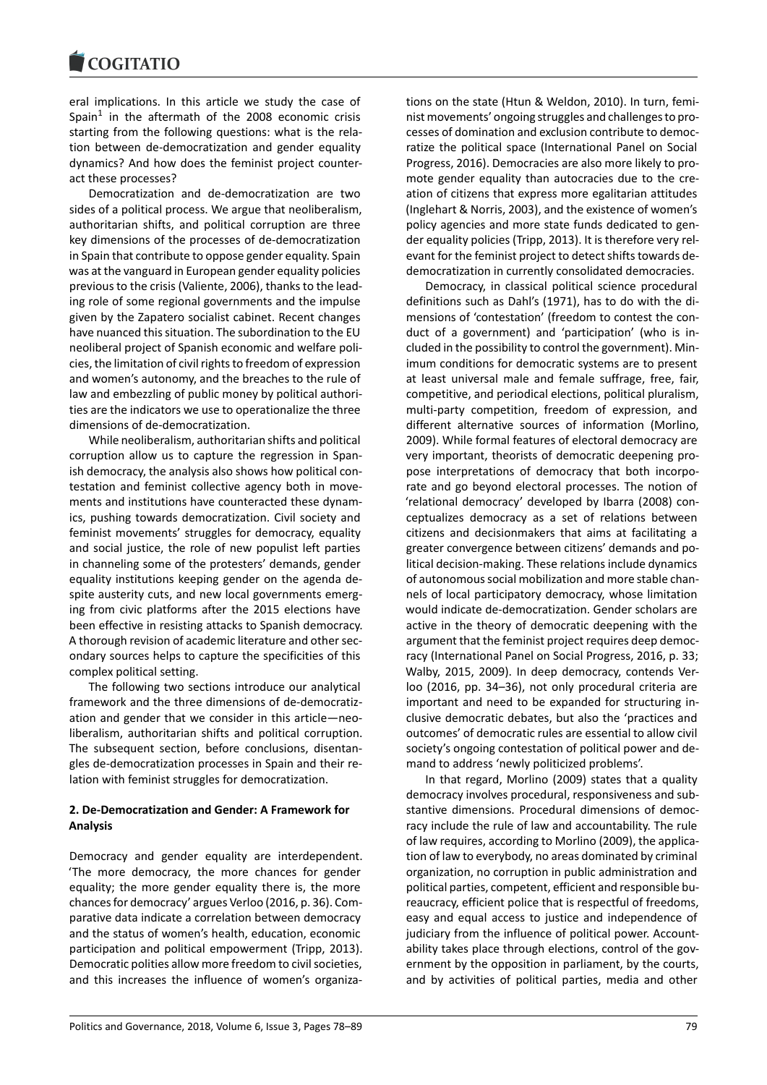eral implications. In this article we study the case of Spain $1$  in the aftermath of the 2008 economic crisis starting from the following questions: what is the relation between de-democratization and gender equality dynamics? And how does the feminist project counteract t[he](#page-0-0)se processes?

Democratization and de-democratization are two sides of a political process. We argue that neoliberalism, authoritarian shifts, and political corruption are three key dimensions of the processes of de-democratization in Spain that contribute to oppose gender equality. Spain was at the vanguard in European gender equality policies previous to the crisis (Valiente, 2006), thanks to the leading role of some regional governments and the impulse given by the Zapatero socialist cabinet. Recent changes have nuanced this situation. The subordination to the EU neoliberal project of Spanish economic and welfare policies, the limitation of civil rights to freedom of expression and women's autonomy, and the breaches to the rule of law and embezzling of public money by political authorities are the indicators we use to operationalize the three dimensions of de-democratization.

While neoliberalism, authoritarian shifts and political corruption allow us to capture the regression in Spanish democracy, the analysis also shows how political contestation and feminist collective agency both in movements and institutions have counteracted these dynamics, pushing towards democratization. Civil society and feminist movements' struggles for democracy, equality and social justice, the role of new populist left parties in channeling some of the protesters' demands, gender equality institutions keeping gender on the agenda despite austerity cuts, and new local governments emerging from civic platforms after the 2015 elections have been effective in resisting attacks to Spanish democracy. A thorough revision of academic literature and other secondary sources helps to capture the specificities of this complex political setting.

The following two sections introduce our analytical framework and the three dimensions of de-democratization and gender that we consider in this article―neoliberalism, authoritarian shifts and political corruption. The subsequent section, before conclusions, disentangles de-democratization processes in Spain and their relation with feminist struggles for democratization.

### **2. De-Democratization and Gender: A Framework for Analysis**

Democracy and gender equality are interdependent. 'The more democracy, the more chances for gender equality; the more gender equality there is, the more chances for democracy' argues Verloo (2016, p. 36). Comparative data indicate a correlation between democracy and the status of women's health, education, economic participation and political empowerment (Tripp, 2013). Democratic polities allow more freedom to civil societies, and this increases the influence of women's organizations on the state (Htun & Weldon, 2010). In turn, feminist movements' ongoing struggles and challenges to processes of domination and exclusion contribute to democratize the political space (International Panel on Social Progress, 2016). Democracies are also more likely to promote gender equality than autocracies due to the creation of citizens that express more egalitarian attitudes (Inglehart & Norris, 2003), and the existence of women's policy agencies and more state funds dedicated to gender equality policies (Tripp, 2013). It is therefore very relevant for the feminist project to detect shifts towards dedemocratization in currently consolidated democracies.

Democracy, in classical political science procedural definitions such as Dahl's (1971), has to do with the dimensions of 'contestation' (freedom to contest the conduct of a government) and 'participation' (who is included in the possibility to control the government). Minimum conditions for democratic systems are to present at least universal male and female suffrage, free, fair, competitive, and periodical elections, political pluralism, multi-party competition, freedom of expression, and different alternative sources of information (Morlino, 2009). While formal features of electoral democracy are very important, theorists of democratic deepening propose interpretations of democracy that both incorporate and go beyond electoral processes. The notion of 'relational democracy' developed by Ibarra (2008) conceptualizes democracy as a set of relations between citizens and decisionmakers that aims at facilitating a greater convergence between citizens' demands and political decision-making. These relations include dynamics of autonomous social mobilization and more stable channels of local participatory democracy, whose limitation would indicate de-democratization. Gender scholars are active in the theory of democratic deepening with the argument that the feminist project requires deep democracy (International Panel on Social Progress, 2016, p. 33; Walby, 2015, 2009). In deep democracy, contends Verloo (2016, pp. 34–36), not only procedural criteria are important and need to be expanded for structuring inclusive democratic debates, but also the 'practices and outcomes' of democratic rules are essential to allow civil society's ongoing contestation of political power and demand to address 'newly politicized problems'.

In that regard, Morlino (2009) states that a quality democracy involves procedural, responsiveness and substantive dimensions. Procedural dimensions of democracy include the rule of law and accountability. The rule of law requires, according to Morlino (2009), the application of law to everybody, no areas dominated by criminal organization, no corruption in public administration and political parties, competent, efficient and responsible bureaucracy, efficient police that is respectful of freedoms, easy and equal access to justice and independence of judiciary from the influence of political power. Accountability takes place through elections, control of the government by the opposition in parliament, by the courts, and by activities of political parties, media and other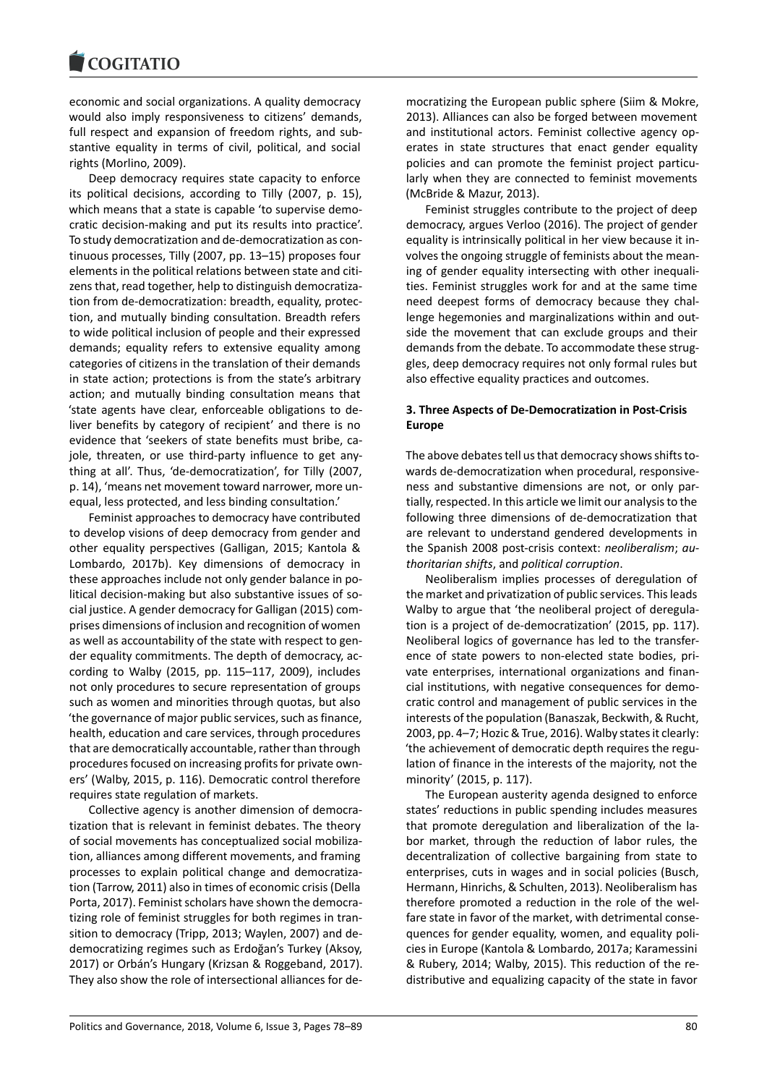economic and social organizations. A quality democracy would also imply responsiveness to citizens' demands, full respect and expansion of freedom rights, and substantive equality in terms of civil, political, and social rights (Morlino, 2009).

Deep democracy requires state capacity to enforce its political decisions, according to Tilly (2007, p. 15), which means that a state is capable 'to supervise democratic decision-making and put its results into practice'. To study democratization and de-democratization as continuous processes, Tilly (2007, pp. 13–15) proposes four elements in the political relations between state and citizens that, read together, help to distinguish democratization from de-democratization: breadth, equality, protection, and mutually binding consultation. Breadth refers to wide political inclusion of people and their expressed demands; equality refers to extensive equality among categories of citizens in the translation of their demands in state action; protections is from the state's arbitrary action; and mutually binding consultation means that 'state agents have clear, enforceable obligations to deliver benefits by category of recipient' and there is no evidence that 'seekers of state benefits must bribe, cajole, threaten, or use third-party influence to get anything at all'. Thus, 'de-democratization', for Tilly (2007, p. 14), 'means net movement toward narrower, more unequal, less protected, and less binding consultation.'

Feminist approaches to democracy have contributed to develop visions of deep democracy from gender and other equality perspectives (Galligan, 2015; Kantola & Lombardo, 2017b). Key dimensions of democracy in these approaches include not only gender balance in political decision-making but also substantive issues of social justice. A gender democracy for Galligan (2015) comprises dimensions of inclusion and recognition of women as well as accountability of the state with respect to gender equality commitments. The depth of democracy, according to Walby (2015, pp. 115–117, 2009), includes not only procedures to secure representation of groups such as women and minorities through quotas, but also 'the governance of major public services, such as finance, health, education and care services, through procedures that are democratically accountable, rather than through procedures focused on increasing profits for private owners' (Walby, 2015, p. 116). Democratic control therefore requires state regulation of markets.

Collective agency is another dimension of democratization that is relevant in feminist debates. The theory of social movements has conceptualized social mobilization, alliances among different movements, and framing processes to explain political change and democratization (Tarrow, 2011) also in times of economic crisis (Della Porta, 2017). Feminist scholars have shown the democratizing role of feminist struggles for both regimes in transition to democracy (Tripp, 2013; Waylen, 2007) and dedemocratizing regimes such as Erdoğan's Turkey (Aksoy, 2017) or Orbán's Hungary (Krizsan & Roggeband, 2017). They also show the role of intersectional alliances for de-

mocratizing the European public sphere (Siim & Mokre, 2013). Alliances can also be forged between movement and institutional actors. Feminist collective agency operates in state structures that enact gender equality policies and can promote the feminist project particularly when they are connected to feminist movements (McBride & Mazur, 2013).

Feminist struggles contribute to the project of deep democracy, argues Verloo (2016). The project of gender equality is intrinsically political in her view because it involves the ongoing struggle of feminists about the meaning of gender equality intersecting with other inequalities. Feminist struggles work for and at the same time need deepest forms of democracy because they challenge hegemonies and marginalizations within and outside the movement that can exclude groups and their demands from the debate. To accommodate these struggles, deep democracy requires not only formal rules but also effective equality practices and outcomes.

# **3. Three Aspects of De-Democratization in Post-Crisis Europe**

The above debates tell us that democracy shows shifts towards de-democratization when procedural, responsiveness and substantive dimensions are not, or only partially, respected. In this article we limit our analysis to the following three dimensions of de-democratization that are relevant to understand gendered developments in the Spanish 2008 post-crisis context: *neoliberalism*; *authoritarian shifts*, and *political corruption*.

Neoliberalism implies processes of deregulation of the market and privatization of public services. This leads Walby to argue that 'the neoliberal project of deregulation is a project of de-democratization' (2015, pp. 117). Neoliberal logics of governance has led to the transference of state powers to non-elected state bodies, private enterprises, international organizations and financial institutions, with negative consequences for democratic control and management of public services in the interests of the population (Banaszak, Beckwith, & Rucht, 2003, pp. 4–7; Hozic & True, 2016). Walby states it clearly: 'the achievement of democratic depth requires the regulation of finance in the interests of the majority, not the minority' (2015, p. 117).

The European austerity agenda designed to enforce states' reductions in public spending includes measures that promote deregulation and liberalization of the labor market, through the reduction of labor rules, the decentralization of collective bargaining from state to enterprises, cuts in wages and in social policies (Busch, Hermann, Hinrichs, & Schulten, 2013). Neoliberalism has therefore promoted a reduction in the role of the welfare state in favor of the market, with detrimental consequences for gender equality, women, and equality policies in Europe (Kantola & Lombardo, 2017a; Karamessini & Rubery, 2014; Walby, 2015). This reduction of the redistributive and equalizing capacity of the state in favor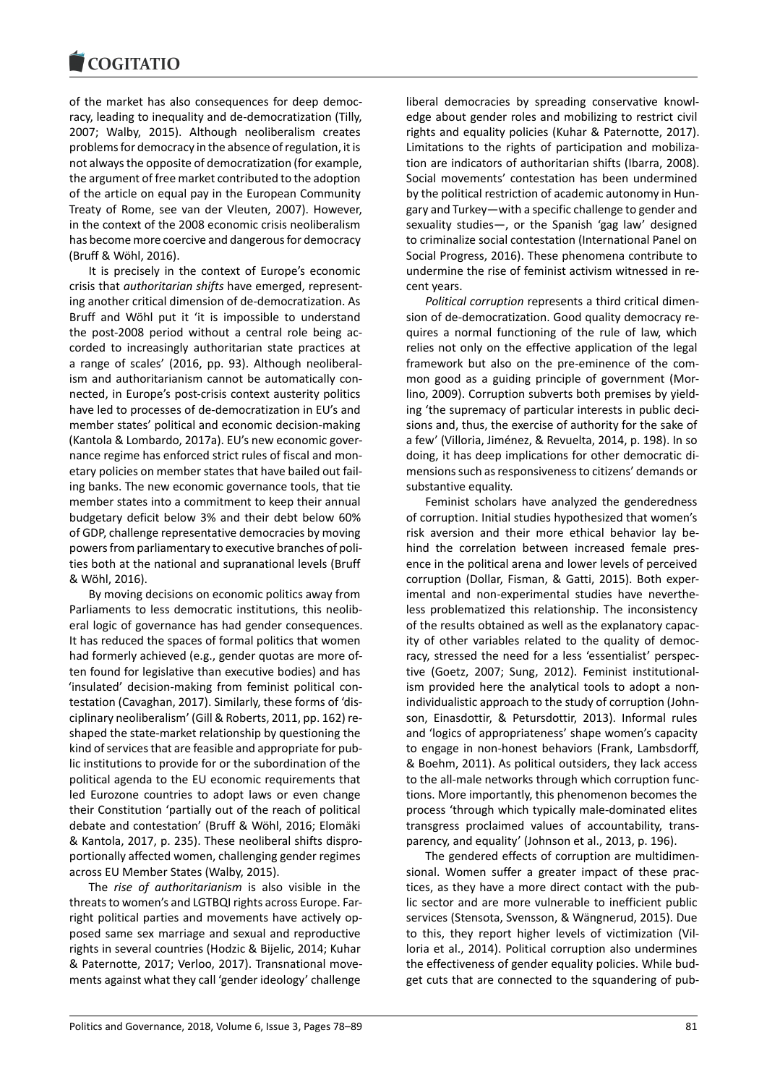of the market has also consequences for deep democracy, leading to inequality and de-democratization (Tilly, 2007; Walby, 2015). Although neoliberalism creates problems for democracy in the absence of regulation, it is not always the opposite of democratization (for example, the argument of free market contributed to the adoption of the article on equal pay in the European Community Treaty of Rome, see van der Vleuten, 2007). However, in the context of the 2008 economic crisis neoliberalism has become more coercive and dangerous for democracy (Bruff & Wöhl, 2016).

It is precisely in the context of Europe's economic crisis that *authoritarian shifts* have emerged, representing another critical dimension of de-democratization. As Bruff and Wöhl put it 'it is impossible to understand the post-2008 period without a central role being accorded to increasingly authoritarian state practices at a range of scales' (2016, pp. 93). Although neoliberalism and authoritarianism cannot be automatically connected, in Europe's post-crisis context austerity politics have led to processes of de-democratization in EU's and member states' political and economic decision-making (Kantola & Lombardo, 2017a). EU's new economic governance regime has enforced strict rules of fiscal and monetary policies on member states that have bailed out failing banks. The new economic governance tools, that tie member states into a commitment to keep their annual budgetary deficit below 3% and their debt below 60% of GDP, challenge representative democracies by moving powers from parliamentary to executive branches of polities both at the national and supranational levels (Bruff & Wöhl, 2016).

By moving decisions on economic politics away from Parliaments to less democratic institutions, this neoliberal logic of governance has had gender consequences. It has reduced the spaces of formal politics that women had formerly achieved (e.g., gender quotas are more often found for legislative than executive bodies) and has 'insulated' decision-making from feminist political contestation (Cavaghan, 2017). Similarly, these forms of 'disciplinary neoliberalism' (Gill & Roberts, 2011, pp. 162) reshaped the state-market relationship by questioning the kind of services that are feasible and appropriate for public institutions to provide for or the subordination of the political agenda to the EU economic requirements that led Eurozone countries to adopt laws or even change their Constitution 'partially out of the reach of political debate and contestation' (Bruff & Wöhl, 2016; Elomäki & Kantola, 2017, p. 235). These neoliberal shifts disproportionally affected women, challenging gender regimes across EU Member States (Walby, 2015).

The *rise of authoritarianism* is also visible in the threats to women's and LGTBQI rights across Europe. Farright political parties and movements have actively opposed same sex marriage and sexual and reproductive rights in several countries (Hodzic & Bijelic, 2014; Kuhar & Paternotte, 2017; Verloo, 2017). Transnational movements against what they call 'gender ideology' challenge

liberal democracies by spreading conservative knowledge about gender roles and mobilizing to restrict civil rights and equality policies (Kuhar & Paternotte, 2017). Limitations to the rights of participation and mobilization are indicators of authoritarian shifts (Ibarra, 2008). Social movements' contestation has been undermined by the political restriction of academic autonomy in Hungary and Turkey―with a specific challenge to gender and sexuality studies—, or the Spanish 'gag law' designed to criminalize social contestation (International Panel on Social Progress, 2016). These phenomena contribute to undermine the rise of feminist activism witnessed in recent years.

*Political corruption* represents a third critical dimension of de-democratization. Good quality democracy requires a normal functioning of the rule of law, which relies not only on the effective application of the legal framework but also on the pre-eminence of the common good as a guiding principle of government (Morlino, 2009). Corruption subverts both premises by yielding 'the supremacy of particular interests in public decisions and, thus, the exercise of authority for the sake of a few' (Villoria, Jiménez, & Revuelta, 2014, p. 198). In so doing, it has deep implications for other democratic dimensions such as responsiveness to citizens' demands or substantive equality.

Feminist scholars have analyzed the genderedness of corruption. Initial studies hypothesized that women's risk aversion and their more ethical behavior lay behind the correlation between increased female presence in the political arena and lower levels of perceived corruption (Dollar, Fisman, & Gatti, 2015). Both experimental and non-experimental studies have nevertheless problematized this relationship. The inconsistency of the results obtained as well as the explanatory capacity of other variables related to the quality of democracy, stressed the need for a less 'essentialist' perspective (Goetz, 2007; Sung, 2012). Feminist institutionalism provided here the analytical tools to adopt a nonindividualistic approach to the study of corruption (Johnson, Einasdottir, & Petursdottir, 2013). Informal rules and 'logics of appropriateness' shape women's capacity to engage in non-honest behaviors (Frank, Lambsdorff, & Boehm, 2011). As political outsiders, they lack access to the all-male networks through which corruption functions. More importantly, this phenomenon becomes the process 'through which typically male-dominated elites transgress proclaimed values of accountability, transparency, and equality' (Johnson et al., 2013, p. 196).

The gendered effects of corruption are multidimensional. Women suffer a greater impact of these practices, as they have a more direct contact with the public sector and are more vulnerable to inefficient public services (Stensota, Svensson, & Wängnerud, 2015). Due to this, they report higher levels of victimization (Villoria et al., 2014). Political corruption also undermines the effectiveness of gender equality policies. While budget cuts that are connected to the squandering of pub-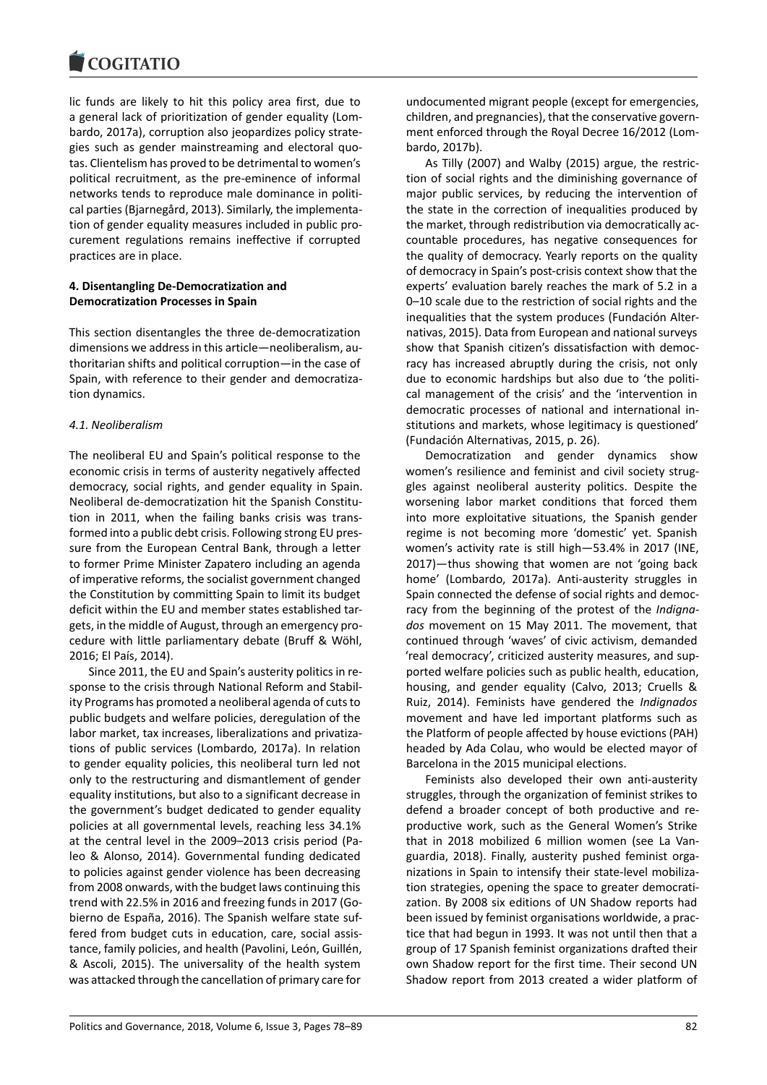lic funds are likely to hit this policy area first, due to a general lack of prioritization of gender equality (Lombardo, 2017a), corruption also jeopardizes policy strategies such as gender mainstreaming and electoral quotas. Clientelism has proved to be detrimental to women's political recruitment, as the pre-eminence of informal networks tends to reproduce male dominance in political parties (Bjarnegård, 2013). Similarly, the implementation of gender equality measures included in public procurement regulations remains ineffective if corrupted practices are in place.

### **4. Disentangling De-Democratization and Democratization Processes in Spain**

This section disentangles the three de-democratization dimensions we address in this article―neoliberalism, authoritarian shifts and political corruption―in the case of Spain, with reference to their gender and democratization dynamics.

### *4.1. Neoliberalism*

The neoliberal EU and Spain's political response to the economic crisis in terms of austerity negatively affected democracy, social rights, and gender equality in Spain. Neoliberal de-democratization hit the Spanish Constitution in 2011, when the failing banks crisis was transformed into a public debt crisis. Following strong EU pressure from the European Central Bank, through a letter to former Prime Minister Zapatero including an agenda of imperative reforms, the socialist government changed the Constitution by committing Spain to limit its budget deficit within the EU and member states established targets, in the middle of August, through an emergency procedure with little parliamentary debate (Bruff & Wöhl, 2016; El País, 2014).

Since 2011, the EU and Spain's austerity politics in response to the crisis through National Reform and Stability Programs has promoted a neoliberal agenda of cuts to public budgets and welfare policies, deregulation of the labor market, tax increases, liberalizations and privatizations of public services (Lombardo, 2017a). In relation to gender equality policies, this neoliberal turn led not only to the restructuring and dismantlement of gender equality institutions, but also to a significant decrease in the government's budget dedicated to gender equality policies at all governmental levels, reaching less 34.1% at the central level in the 2009–2013 crisis period (Paleo & Alonso, 2014). Governmental funding dedicated to policies against gender violence has been decreasing from 2008 onwards, with the budget laws continuing this trend with 22.5% in 2016 and freezing funds in 2017 (Gobierno de España, 2016). The Spanish welfare state suffered from budget cuts in education, care, social assistance, family policies, and health (Pavolini, León, Guillén, & Ascoli, 2015). The universality of the health system was attacked through the cancellation of primary care for undocumented migrant people (except for emergencies, children, and pregnancies), that the conservative government enforced through the Royal Decree 16/2012 (Lombardo, 2017b).

As Tilly (2007) and Walby (2015) argue, the restriction of social rights and the diminishing governance of major public services, by reducing the intervention of the state in the correction of inequalities produced by the market, through redistribution via democratically accountable procedures, has negative consequences for the quality of democracy. Yearly reports on the quality of democracy in Spain's post-crisis context show that the experts' evaluation barely reaches the mark of 5.2 in a 0–10 scale due to the restriction of social rights and the inequalities that the system produces (Fundación Alternativas, 2015). Data from European and national surveys show that Spanish citizen's dissatisfaction with democracy has increased abruptly during the crisis, not only due to economic hardships but also due to 'the political management of the crisis' and the 'intervention in democratic processes of national and international institutions and markets, whose legitimacy is questioned' (Fundación Alternativas, 2015, p. 26).

Democratization and gender dynamics show women's resilience and feminist and civil society struggles against neoliberal austerity politics. Despite the worsening labor market conditions that forced them into more exploitative situations, the Spanish gender regime is not becoming more 'domestic' yet. Spanish women's activity rate is still high―53.4% in 2017 (INE, 2017)―thus showing that women are not 'going back home' (Lombardo, 2017a). Anti-austerity struggles in Spain connected the defense of social rights and democracy from the beginning of the protest of the *Indignados* movement on 15 May 2011. The movement, that continued through 'waves' of civic activism, demanded 'real democracy', criticized austerity measures, and supported welfare policies such as public health, education, housing, and gender equality (Calvo, 2013; Cruells & Ruiz, 2014). Feminists have gendered the *Indignados* movement and have led important platforms such as the Platform of people affected by house evictions (PAH) headed by Ada Colau, who would be elected mayor of Barcelona in the 2015 municipal elections.

Feminists also developed their own anti-austerity struggles, through the organization of feminist strikes to defend a broader concept of both productive and reproductive work, such as the General Women's Strike that in 2018 mobilized 6 million women (see La Vanguardia, 2018). Finally, austerity pushed feminist organizations in Spain to intensify their state-level mobilization strategies, opening the space to greater democratization. By 2008 six editions of UN Shadow reports had been issued by feminist organisations worldwide, a practice that had begun in 1993. It was not until then that a group of 17 Spanish feminist organizations drafted their own Shadow report for the first time. Their second UN Shadow report from 2013 created a wider platform of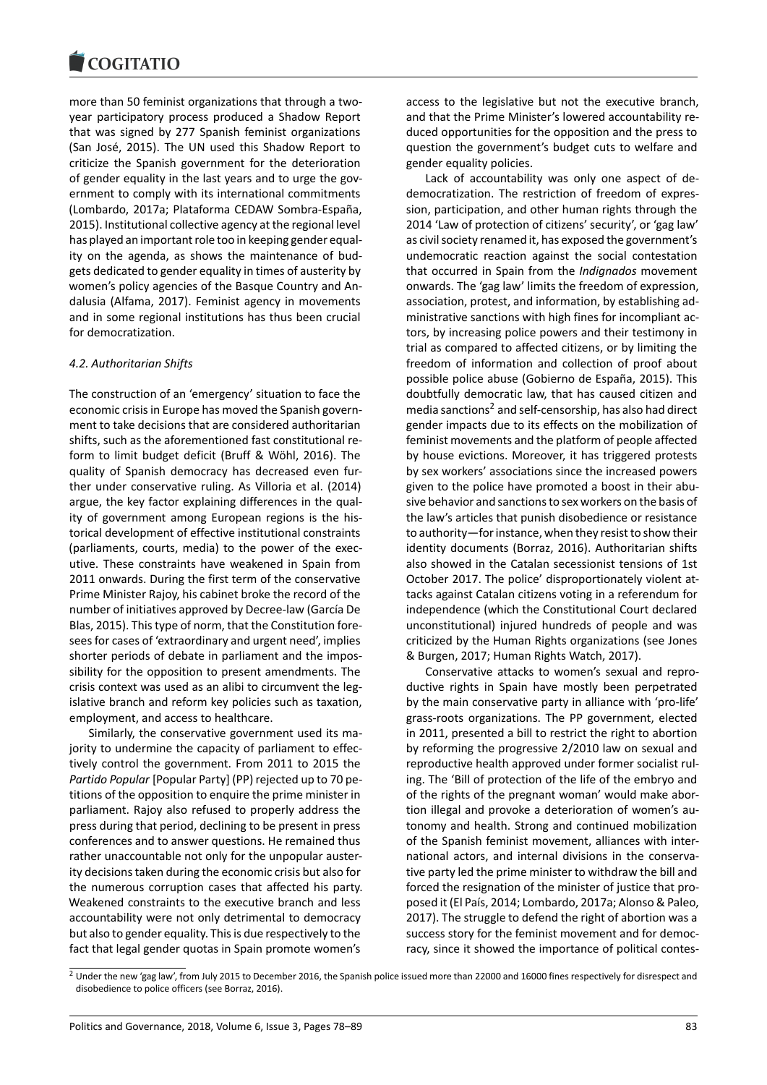more than 50 feminist organizations that through a twoyear participatory process produced a Shadow Report that was signed by 277 Spanish feminist organizations (San José, 2015). The UN used this Shadow Report to criticize the Spanish government for the deterioration of gender equality in the last years and to urge the government to comply with its international commitments (Lombardo, 2017a; Plataforma CEDAW Sombra-España, 2015). Institutional collective agency at the regional level has played an important role too in keeping gender equality on the agenda, as shows the maintenance of budgets dedicated to gender equality in times of austerity by women's policy agencies of the Basque Country and Andalusia (Alfama, 2017). Feminist agency in movements and in some regional institutions has thus been crucial for democratization.

### *4.2. Authoritarian Shifts*

The construction of an 'emergency' situation to face the economic crisis in Europe has moved the Spanish government to take decisions that are considered authoritarian shifts, such as the aforementioned fast constitutional reform to limit budget deficit (Bruff & Wöhl, 2016). The quality of Spanish democracy has decreased even further under conservative ruling. As Villoria et al. (2014) argue, the key factor explaining differences in the quality of government among European regions is the historical development of effective institutional constraints (parliaments, courts, media) to the power of the executive. These constraints have weakened in Spain from 2011 onwards. During the first term of the conservative Prime Minister Rajoy, his cabinet broke the record of the number of initiatives approved by Decree-law (García De Blas, 2015). This type of norm, that the Constitution foresees for cases of 'extraordinary and urgent need', implies shorter periods of debate in parliament and the impossibility for the opposition to present amendments. The crisis context was used as an alibi to circumvent the legislative branch and reform key policies such as taxation, employment, and access to healthcare.

Similarly, the conservative government used its majority to undermine the capacity of parliament to effectively control the government. From 2011 to 2015 the *Partido Popular* [Popular Party] (PP) rejected up to 70 petitions of the opposition to enquire the prime minister in parliament. Rajoy also refused to properly address the press during that period, declining to be present in press conferences and to answer questions. He remained thus rather unaccountable not only for the unpopular austerity decisions taken during the economic crisis but also for the numerous corruption cases that affected his party. Weakened constraints to the executive branch and less accountability were not only detrimental to democracy but also to gender equality. This is due respectively to the fact that legal gender quotas in Spain promote women's

access to the legislative but not the executive branch, and that the Prime Minister's lowered accountability reduced opportunities for the opposition and the press to question the government's budget cuts to welfare and gender equality policies.

Lack of accountability was only one aspect of dedemocratization. The restriction of freedom of expression, participation, and other human rights through the 2014 'Law of protection of citizens' security', or 'gag law' as civil society renamed it, has exposed the government's undemocratic reaction against the social contestation that occurred in Spain from the *Indignados* movement onwards. The 'gag law' limits the freedom of expression, association, protest, and information, by establishing administrative sanctions with high fines for incompliant actors, by increasing police powers and their testimony in trial as compared to affected citizens, or by limiting the freedom of information and collection of proof about possible police abuse (Gobierno de España, 2015). This doubtfully democratic law, that has caused citizen and media sanctions<sup>2</sup> and self-censorship, has also had direct gender impacts due to its effects on the mobilization of feminist movements and the platform of people affected by house evictions. Moreover, it has triggered protests by sex workers' [a](#page-5-0)ssociations since the increased powers given to the police have promoted a boost in their abusive behavior and sanctions to sex workers on the basis of the law's articles that punish disobedience or resistance to authority―for instance, when they resist to show their identity documents (Borraz, 2016). Authoritarian shifts also showed in the Catalan secessionist tensions of 1st October 2017. The police' disproportionately violent attacks against Catalan citizens voting in a referendum for independence (which the Constitutional Court declared unconstitutional) injured hundreds of people and was criticized by the Human Rights organizations (see Jones & Burgen, 2017; Human Rights Watch, 2017).

Conservative attacks to women's sexual and reproductive rights in Spain have mostly been perpetrated by the main conservative party in alliance with 'pro-life' grass-roots organizations. The PP government, elected in 2011, presented a bill to restrict the right to abortion by reforming the progressive 2/2010 law on sexual and reproductive health approved under former socialist ruling. The 'Bill of protection of the life of the embryo and of the rights of the pregnant woman' would make abortion illegal and provoke a deterioration of women's autonomy and health. Strong and continued mobilization of the Spanish feminist movement, alliances with international actors, and internal divisions in the conservative party led the prime minister to withdraw the bill and forced the resignation of the minister of justice that proposed it (El País, 2014; Lombardo, 2017a; Alonso & Paleo, 2017). The struggle to defend the right of abortion was a success story for the feminist movement and for democracy, since it showed the importance of political contes-

<span id="page-5-0"></span> $^2$  Under the new 'gag law', from July 2015 to December 2016, the Spanish police issued more than 22000 and 16000 fines respectively for disrespect and disobedience to police officers (see Borraz, 2016).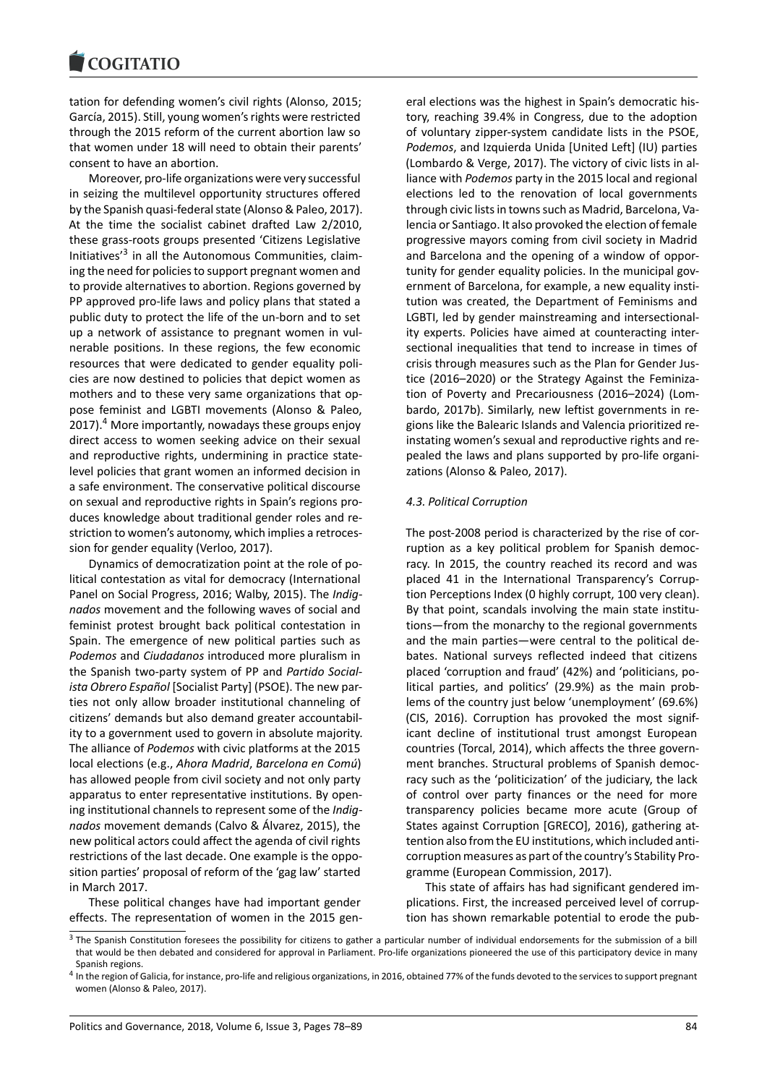tation for defending women's civil rights (Alonso, 2015; García, 2015). Still, young women's rights were restricted through the 2015 reform of the current abortion law so that women under 18 will need to obtain their parents' consent to have an abortion.

Moreover, pro-life organizations were very successful in seizing the multilevel opportunity structures offered by the Spanish quasi-federal state (Alonso & Paleo, 2017). At the time the socialist cabinet drafted Law 2/2010, these grass-roots groups presented 'Citizens Legislative Initiatives<sup>'3</sup> in all the Autonomous Communities, claiming the need for policies to support pregnant women and to provide alternatives to abortion. Regions governed by PP approved pro-life laws and policy plans that stated a public dut[y](#page-6-0) to protect the life of the un-born and to set up a network of assistance to pregnant women in vulnerable positions. In these regions, the few economic resources that were dedicated to gender equality policies are now destined to policies that depict women as mothers and to these very same organizations that oppose feminist and LGBTI movements (Alonso & Paleo, 2017).<sup>4</sup> More importantly, nowadays these groups enjoy direct access to women seeking advice on their sexual and reproductive rights, undermining in practice statelevel policies that grant women an informed decision in a safe [e](#page-6-1)nvironment. The conservative political discourse on sexual and reproductive rights in Spain's regions produces knowledge about traditional gender roles and restriction to women's autonomy, which implies a retrocession for gender equality (Verloo, 2017).

Dynamics of democratization point at the role of political contestation as vital for democracy (International Panel on Social Progress, 2016; Walby, 2015). The *Indignados* movement and the following waves of social and feminist protest brought back political contestation in Spain. The emergence of new political parties such as *Podemos* and *Ciudadanos* introduced more pluralism in the Spanish two-party system of PP and *Partido Socialista Obrero Español* [Socialist Party] (PSOE). The new parties not only allow broader institutional channeling of citizens' demands but also demand greater accountability to a government used to govern in absolute majority. The alliance of *Podemos* with civic platforms at the 2015 local elections (e.g., *Ahora Madrid*, *Barcelona en Comú*) has allowed people from civil society and not only party apparatus to enter representative institutions. By opening institutional channels to represent some of the *Indignados* movement demands (Calvo & Álvarez, 2015), the new political actors could affect the agenda of civil rights restrictions of the last decade. One example is the opposition parties' proposal of reform of the 'gag law' started in March 2017.

These political changes have had important gender effects. The representation of women in the 2015 general elections was the highest in Spain's democratic history, reaching 39.4% in Congress, due to the adoption of voluntary zipper-system candidate lists in the PSOE, *Podemos*, and Izquierda Unida [United Left] (IU) parties (Lombardo & Verge, 2017). The victory of civic lists in alliance with *Podemos* party in the 2015 local and regional elections led to the renovation of local governments through civic lists in towns such as Madrid, Barcelona, Valencia or Santiago. It also provoked the election of female progressive mayors coming from civil society in Madrid and Barcelona and the opening of a window of opportunity for gender equality policies. In the municipal government of Barcelona, for example, a new equality institution was created, the Department of Feminisms and LGBTI, led by gender mainstreaming and intersectionality experts. Policies have aimed at counteracting intersectional inequalities that tend to increase in times of crisis through measures such as the Plan for Gender Justice (2016–2020) or the Strategy Against the Feminization of Poverty and Precariousness (2016–2024) (Lombardo, 2017b). Similarly, new leftist governments in regions like the Balearic Islands and Valencia prioritized reinstating women's sexual and reproductive rights and repealed the laws and plans supported by pro-life organizations (Alonso & Paleo, 2017).

### *4.3. Political Corruption*

The post-2008 period is characterized by the rise of corruption as a key political problem for Spanish democracy. In 2015, the country reached its record and was placed 41 in the International Transparency's Corruption Perceptions Index (0 highly corrupt, 100 very clean). By that point, scandals involving the main state institutions―from the monarchy to the regional governments and the main parties—were central to the political debates. National surveys reflected indeed that citizens placed 'corruption and fraud' (42%) and 'politicians, political parties, and politics' (29.9%) as the main problems of the country just below 'unemployment' (69.6%) (CIS, 2016). Corruption has provoked the most significant decline of institutional trust amongst European countries (Torcal, 2014), which affects the three government branches. Structural problems of Spanish democracy such as the 'politicization' of the judiciary, the lack of control over party finances or the need for more transparency policies became more acute (Group of States against Corruption [GRECO], 2016), gathering attention also from the EU institutions, which included anticorruption measures as part of the country's Stability Programme (European Commission, 2017).

This state of affairs has had significant gendered implications. First, the increased perceived level of corruption has shown remarkable potential to erode the pub-

 $3$  The Spanish Constitution foresees the possibility for citizens to gather a particular number of individual endorsements for the submission of a bill that would be then debated and considered for approval in Parliament. Pro-life organizations pioneered the use of this participatory device in many Spanish regions.

<span id="page-6-1"></span><span id="page-6-0"></span><sup>&</sup>lt;sup>4</sup> In the region of Galicia, for instance, pro-life and religious organizations, in 2016, obtained 77% of the funds devoted to the services to support pregnant women (Alonso & Paleo, 2017).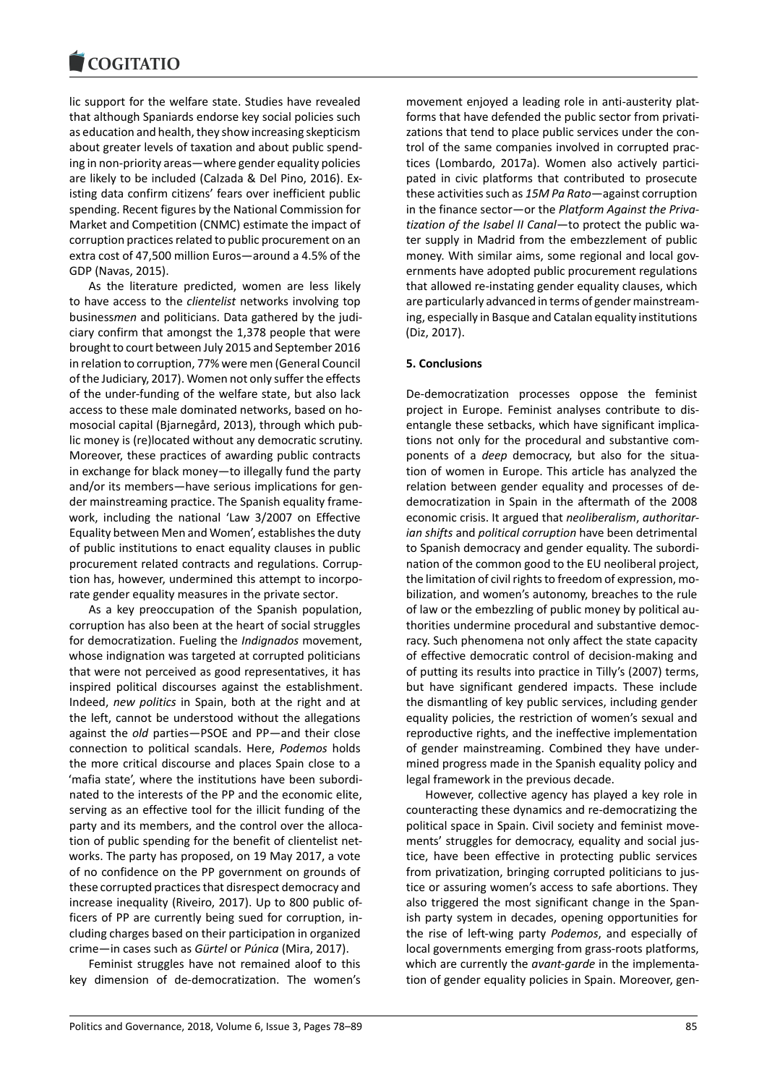### **COMBITATIO**

lic support for the welfare state. Studies have revealed that although Spaniards endorse key social policies such as education and health, they show increasing skepticism about greater levels of taxation and about public spending in non-priority areas―where gender equality policies are likely to be included (Calzada & Del Pino, 2016). Existing data confirm citizens' fears over inefficient public spending. Recent figures by the National Commission for Market and Competition (CNMC) estimate the impact of corruption practices related to public procurement on an extra cost of 47,500 million Euros―around a 4.5% of the GDP (Navas, 2015).

As the literature predicted, women are less likely to have access to the *clientelist* networks involving top business*men* and politicians. Data gathered by the judiciary confirm that amongst the 1,378 people that were brought to court between July 2015 and September 2016 in relation to corruption, 77% were men (General Council of the Judiciary, 2017). Women not only suffer the effects of the under-funding of the welfare state, but also lack access to these male dominated networks, based on homosocial capital (Bjarnegård, 2013), through which public money is (re)located without any democratic scrutiny. Moreover, these practices of awarding public contracts in exchange for black money―to illegally fund the party and/or its members—have serious implications for gender mainstreaming practice. The Spanish equality framework, including the national 'Law 3/2007 on Effective Equality between Men and Women', establishes the duty of public institutions to enact equality clauses in public procurement related contracts and regulations. Corruption has, however, undermined this attempt to incorporate gender equality measures in the private sector.

As a key preoccupation of the Spanish population, corruption has also been at the heart of social struggles for democratization. Fueling the *Indignados* movement, whose indignation was targeted at corrupted politicians that were not perceived as good representatives, it has inspired political discourses against the establishment. Indeed, *new politics* in Spain, both at the right and at the left, cannot be understood without the allegations against the *old* parties―PSOE and PP—and their close connection to political scandals. Here, *Podemos* holds the more critical discourse and places Spain close to a 'mafia state', where the institutions have been subordinated to the interests of the PP and the economic elite, serving as an effective tool for the illicit funding of the party and its members, and the control over the allocation of public spending for the benefit of clientelist networks. The party has proposed, on 19 May 2017, a vote of no confidence on the PP government on grounds of these corrupted practices that disrespect democracy and increase inequality (Riveiro, 2017). Up to 800 public officers of PP are currently being sued for corruption, including charges based on their participation in organized crime―in cases such as *Gürtel* or *Púnica* (Mira, 2017).

Feminist struggles have not remained aloof to this key dimension of de-democratization. The women's movement enjoyed a leading role in anti-austerity platforms that have defended the public sector from privatizations that tend to place public services under the control of the same companies involved in corrupted practices (Lombardo, 2017a). Women also actively participated in civic platforms that contributed to prosecute these activities such as *15M Pa Rato*―against corruption in the finance sector—or the *Platform Against the Privatization of the Isabel II Canal*―to protect the public water supply in Madrid from the embezzlement of public money. With similar aims, some regional and local governments have adopted public procurement regulations that allowed re-instating gender equality clauses, which are particularly advanced in terms of gender mainstreaming, especially in Basque and Catalan equality institutions (Diz, 2017).

# **5. Conclusions**

De-democratization processes oppose the feminist project in Europe. Feminist analyses contribute to disentangle these setbacks, which have significant implications not only for the procedural and substantive components of a *deep* democracy, but also for the situation of women in Europe. This article has analyzed the relation between gender equality and processes of dedemocratization in Spain in the aftermath of the 2008 economic crisis. It argued that *neoliberalism*, *authoritarian shifts* and *political corruption* have been detrimental to Spanish democracy and gender equality. The subordination of the common good to the EU neoliberal project, the limitation of civil rights to freedom of expression, mobilization, and women's autonomy, breaches to the rule of law or the embezzling of public money by political authorities undermine procedural and substantive democracy. Such phenomena not only affect the state capacity of effective democratic control of decision-making and of putting its results into practice in Tilly's (2007) terms, but have significant gendered impacts. These include the dismantling of key public services, including gender equality policies, the restriction of women's sexual and reproductive rights, and the ineffective implementation of gender mainstreaming. Combined they have undermined progress made in the Spanish equality policy and legal framework in the previous decade.

However, collective agency has played a key role in counteracting these dynamics and re-democratizing the political space in Spain. Civil society and feminist movements' struggles for democracy, equality and social justice, have been effective in protecting public services from privatization, bringing corrupted politicians to justice or assuring women's access to safe abortions. They also triggered the most significant change in the Spanish party system in decades, opening opportunities for the rise of left-wing party *Podemos*, and especially of local governments emerging from grass-roots platforms, which are currently the *avant-garde* in the implementation of gender equality policies in Spain. Moreover, gen-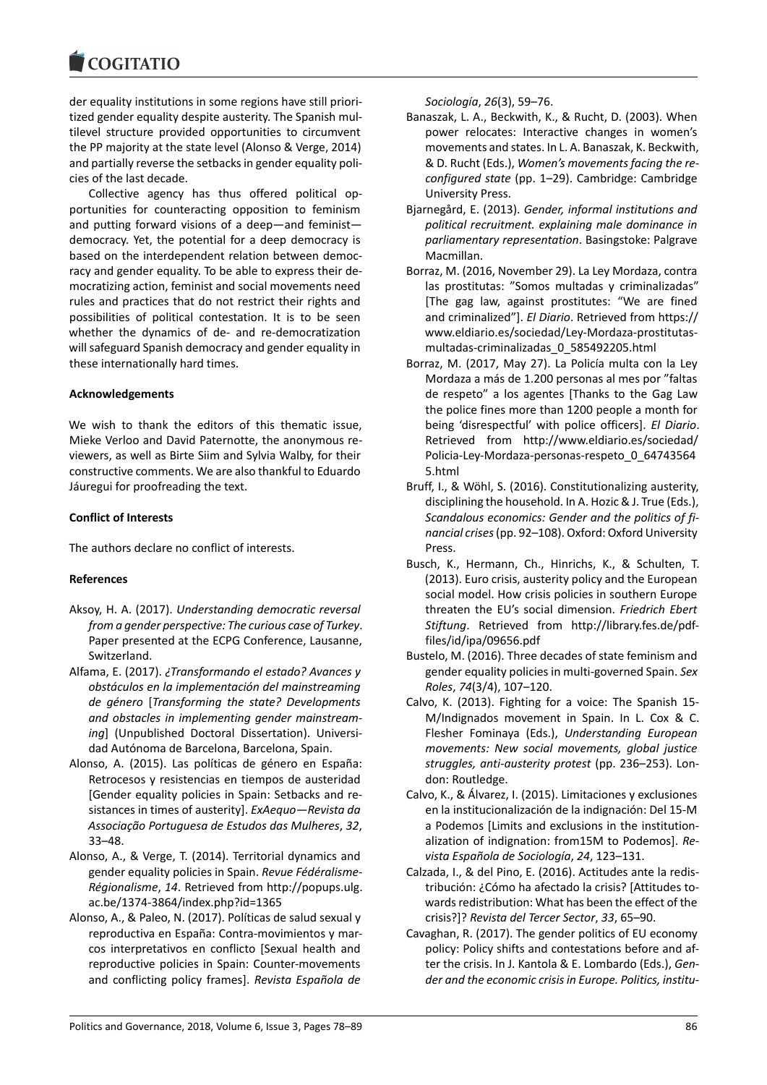### COMITATIO

der equality institutions in some regions have still prioritized gender equality despite austerity. The Spanish multilevel structure provided opportunities to circumvent the PP majority at the state level (Alonso & Verge, 2014) and partially reverse the setbacks in gender equality policies of the last decade.

Collective agency has thus offered political opportunities for counteracting opposition to feminism and putting forward visions of a deep―and feminist democracy. Yet, the potential for a deep democracy is based on the interdependent relation between democracy and gender equality. To be able to express their democratizing action, feminist and social movements need rules and practices that do not restrict their rights and possibilities of political contestation. It is to be seen whether the dynamics of de- and re-democratization will safeguard Spanish democracy and gender equality in these internationally hard times.

# **Acknowledgements**

We wish to thank the editors of this thematic issue, Mieke Verloo and David Paternotte, the anonymous reviewers, as well as Birte Siim and Sylvia Walby, for their constructive comments. We are also thankful to Eduardo Jáuregui for proofreading the text.

# **Conflict of Interests**

The authors declare no conflict of interests.

# **References**

- Aksoy, H. A. (2017). *Understanding democratic reversal from a gender perspective: The curious case of Turkey*. Paper presented at the ECPG Conference, Lausanne, Switzerland.
- Alfama, E. (2017). *¿Transformando el estado? Avances y obstáculos en la implementación del mainstreaming de género* [*Transforming the state? Developments and obstacles in implementing gender mainstreaming*] (Unpublished Doctoral Dissertation). Universidad Autónoma de Barcelona, Barcelona, Spain.
- Alonso, A. (2015). Las políticas de género en España: Retrocesos y resistencias en tiempos de austeridad [Gender equality policies in Spain: Setbacks and resistances in times of austerity]. *ExAequo―Revista da Associação Portuguesa de Estudos das Mulheres*, *32*, 33–48.
- Alonso, A., & Verge, T. (2014). Territorial dynamics and gender equality policies in Spain. *Revue Fédéralisme-Régionalisme*, *14*. Retrieved from http://popups.ulg. ac.be/1374-3864/index.php?id=1365
- Alonso, A., & Paleo, N. (2017). Políticas de salud sexual y reproductiva en España: Contra-movimientos y marcos interpretativos en conflicto [Sexual health and reproductive policies in Spain: Counter-movements and conflicting policy frames]. *Revista Española de*

*Sociología*, *26*(3), 59–76.

- Banaszak, L. A., Beckwith, K., & Rucht, D. (2003). When power relocates: Interactive changes in women's movements and states. In L. A. Banaszak, K. Beckwith, & D. Rucht (Eds.), *Women's movements facing the reconfigured state* (pp. 1–29). Cambridge: Cambridge University Press.
- Bjarnegård, E. (2013). *Gender, informal institutions and political recruitment. explaining male dominance in parliamentary representation*. Basingstoke: Palgrave Macmillan.
- Borraz, M. (2016, November 29). La Ley Mordaza, contra las prostitutas: "Somos multadas y criminalizadas" [The gag law, against prostitutes: "We are fined and criminalized"]. *El Diario*. Retrieved from https:// www.eldiario.es/sociedad/Ley-Mordaza-prostitutasmultadas-criminalizadas\_0\_585492205.html
- Borraz, M. (2017, May 27). La Policía multa con la Ley Mordaza a más de 1.200 personas al mes por "faltas de respeto" a los agentes [Thanks to the Gag Law the police fines more than 1200 people a month for being 'disrespectful' with police officers]. *El Diario*. Retrieved from http://www.eldiario.es/sociedad/ Policia-Ley-Mordaza-personas-respeto\_0\_64743564 5.html
- Bruff, I., & Wöhl, S. (2016). Constitutionalizing austerity, disciplining the household. In A. Hozic & J. True (Eds.), *Scandalous economics: Gender and the politics of financial crises*(pp. 92–108). Oxford: Oxford University Press.
- Busch, K., Hermann, Ch., Hinrichs, K., & Schulten, T. (2013). Euro crisis, austerity policy and the European social model. How crisis policies in southern Europe threaten the EU's social dimension. *Friedrich Ebert Stiftung*. Retrieved from http://library.fes.de/pdffiles/id/ipa/09656.pdf
- Bustelo, M. (2016). Three decades of state feminism and gender equality policies in multi-governed Spain. *Sex Roles*, *74*(3/4), 107–120.
- Calvo, K. (2013). Fighting for a voice: The Spanish 15- M/Indignados movement in Spain. In L. Cox & C. Flesher Fominaya (Eds.), *Understanding European movements: New social movements, global justice struggles, anti-austerity protest* (pp. 236–253). London: Routledge.
- Calvo, K., & Álvarez, I. (2015). Limitaciones y exclusiones en la institucionalización de la indignación: Del 15-M a Podemos [Limits and exclusions in the institutionalization of indignation: from15M to Podemos]. *Revista Española de Sociología*, *24*, 123–131.
- Calzada, I., & del Pino, E. (2016). Actitudes ante la redistribución: ¿Cómo ha afectado la crisis? [Attitudes towards redistribution: What has been the effect of the crisis?]? *Revista del Tercer Sector*, *33*, 65–90.
- Cavaghan, R. (2017). The gender politics of EU economy policy: Policy shifts and contestations before and after the crisis. In J. Kantola & E. Lombardo (Eds.), *Gender and the economic crisis in Europe. Politics, institu-*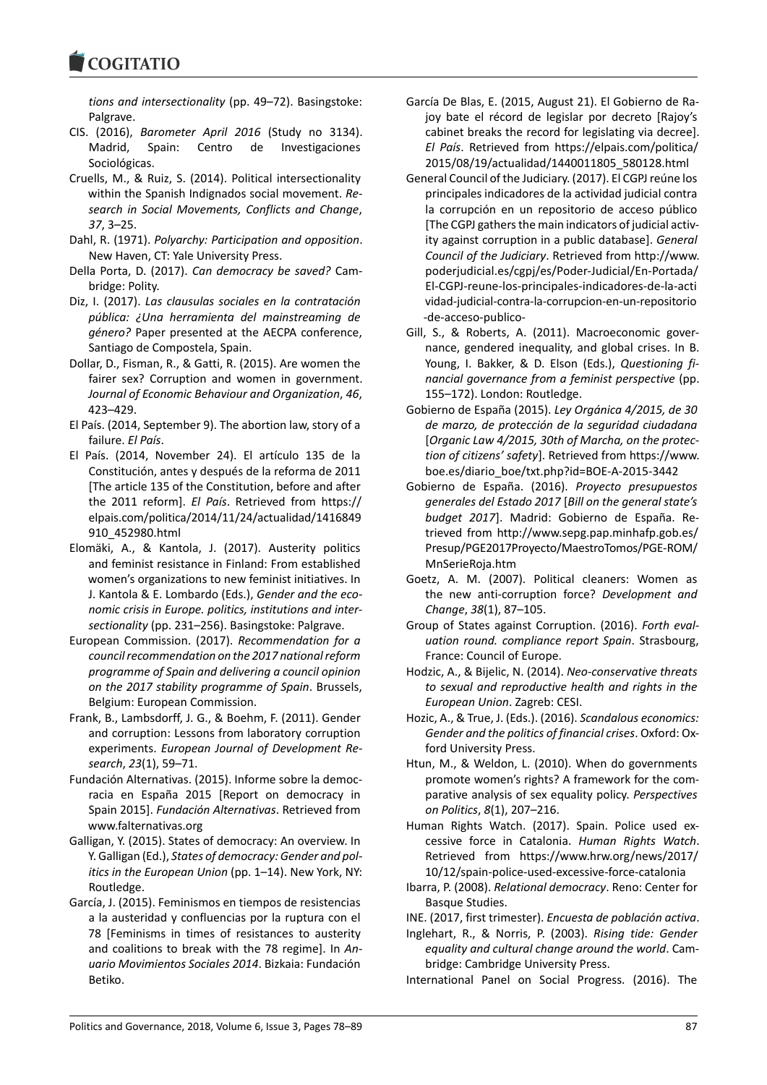### COULTAIN

*tions and intersectionality* (pp. 49–72). Basingstoke: Palgrave.

- CIS. (2016), *Barometer April 2016* (Study no 3134). Madrid, Spain: Centro de Investigaciones Sociológicas.
- Cruells, M., & Ruiz, S. (2014). Political intersectionality within the Spanish Indignados social movement. *Research in Social Movements, Conflicts and Change*, *37*, 3–25.
- Dahl, R. (1971). *Polyarchy: Participation and opposition*. New Haven, CT: Yale University Press.
- Della Porta, D. (2017). *Can democracy be saved?* Cambridge: Polity.
- Diz, I. (2017). *Las clausulas sociales en la contratación pública: ¿Una herramienta del mainstreaming de género?* Paper presented at the AECPA conference, Santiago de Compostela, Spain.
- Dollar, D., Fisman, R., & Gatti, R. (2015). Are women the fairer sex? Corruption and women in government. *Journal of Economic Behaviour and Organization*, *46*, 423–429.
- El País. (2014, September 9). The abortion law, story of a failure. *El País*.
- El País. (2014, November 24). El artículo 135 de la Constitución, antes y después de la reforma de 2011 [The article 135 of the Constitution, before and after the 2011 reform]. *El País*. Retrieved from https:// elpais.com/politica/2014/11/24/actualidad/1416849 910\_452980.html
- Elomäki, A., & Kantola, J. (2017). Austerity politics and feminist resistance in Finland: From established women's organizations to new feminist initiatives. In J. Kantola & E. Lombardo (Eds.), *Gender and the economic crisis in Europe. politics, institutions and intersectionality* (pp. 231–256). Basingstoke: Palgrave.
- European Commission. (2017). *Recommendation for a council recommendation on the 2017 national reform programme of Spain and delivering a council opinion on the 2017 stability programme of Spain*. Brussels, Belgium: European Commission.
- Frank, B., Lambsdorff, J. G., & Boehm, F. (2011). Gender and corruption: Lessons from laboratory corruption experiments. *European Journal of Development Research*, *23*(1), 59–71.
- Fundación Alternativas. (2015). Informe sobre la democracia en España 2015 [Report on democracy in Spain 2015]. *Fundación Alternativas*. Retrieved from www.falternativas.org
- Galligan, Y. (2015). States of democracy: An overview. In Y. Galligan (Ed.), *States of democracy: Gender and politics in the European Union* (pp. 1–14). New York, NY: Routledge.
- García, J. (2015). Feminismos en tiempos de resistencias a la austeridad y confluencias por la ruptura con el 78 [Feminisms in times of resistances to austerity and coalitions to break with the 78 regime]. In *Anuario Movimientos Sociales 2014*. Bizkaia: Fundación Betiko.
- García De Blas, E. (2015, August 21). El Gobierno de Rajoy bate el récord de legislar por decreto [Rajoy's cabinet breaks the record for legislating via decree]. *El País*. Retrieved from https://elpais.com/politica/ 2015/08/19/actualidad/1440011805\_580128.html
- General Council of the Judiciary. (2017). El CGPJ reúne los principales indicadores de la actividad judicial contra la corrupción en un repositorio de acceso público [The CGPJ gathers the main indicators of judicial activity against corruption in a public database]. *General Council of the Judiciary*. Retrieved from http://www. poderjudicial.es/cgpj/es/Poder-Judicial/En-Portada/ El-CGPJ-reune-los-principales-indicadores-de-la-acti vidad-judicial-contra-la-corrupcion-en-un-repositorio -de-acceso-publico-
- Gill, S., & Roberts, A. (2011). Macroeconomic governance, gendered inequality, and global crises. In B. Young, I. Bakker, & D. Elson (Eds.), *Questioning financial governance from a feminist perspective* (pp. 155–172). London: Routledge.
- Gobierno de España (2015). *Ley Orgánica 4/2015, de 30 de marzo, de protección de la seguridad ciudadana* [*Organic Law 4/2015, 30th of Marcha, on the protection of citizens' safety*]. Retrieved from https://www. boe.es/diario\_boe/txt.php?id=BOE-A-2015-3442
- Gobierno de España. (2016). *Proyecto presupuestos generales del Estado 2017* [*Bill on the general state's budget 2017*]. Madrid: Gobierno de España. Retrieved from http://www.sepg.pap.minhafp.gob.es/ Presup/PGE2017Proyecto/MaestroTomos/PGE-ROM/ MnSerieRoja.htm
- Goetz, A. M. (2007). Political cleaners: Women as the new anti-corruption force? *Development and Change*, *38*(1), 87–105.
- Group of States against Corruption. (2016). *Forth evaluation round. compliance report Spain*. Strasbourg, France: Council of Europe.
- Hodzic, A., & Bijelic, N. (2014). *Neo-conservative threats to sexual and reproductive health and rights in the European Union*. Zagreb: CESI.
- Hozic, A., & True, J. (Eds.). (2016). *Scandalous economics: Gender and the politics of financial crises*. Oxford: Oxford University Press.
- Htun, M., & Weldon, L. (2010). When do governments promote women's rights? A framework for the comparative analysis of sex equality policy. *Perspectives on Politics*, *8*(1), 207–216.
- Human Rights Watch. (2017). Spain. Police used excessive force in Catalonia. *Human Rights Watch*. Retrieved from https://www.hrw.org/news/2017/ 10/12/spain-police-used-excessive-force-catalonia
- Ibarra, P. (2008). *Relational democracy*. Reno: Center for Basque Studies.
- INE. (2017, first trimester). *Encuesta de población activa*.
- Inglehart, R., & Norris, P. (2003). *Rising tide: Gender equality and cultural change around the world*. Cambridge: Cambridge University Press.

International Panel on Social Progress. (2016). The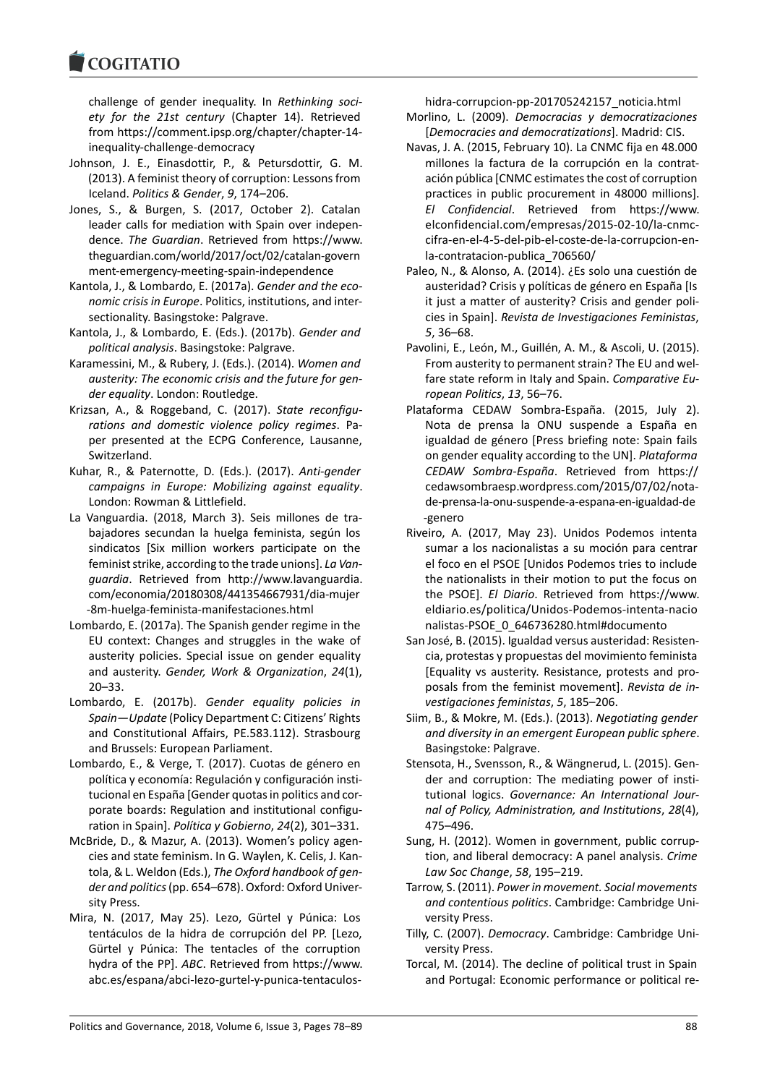### COMITATIO

challenge of gender inequality. In *Rethinking society for the 21st century* (Chapter 14). Retrieved from https://comment.ipsp.org/chapter/chapter-14 inequality-challenge-democracy

- Johnson, J. E., Einasdottir, P., & Petursdottir, G. M. (2013). A feminist theory of corruption: Lessons from Iceland. *Politics & Gender*, *9*, 174–206.
- Jones, S., & Burgen, S. (2017, October 2). Catalan leader calls for mediation with Spain over independence. *The Guardian*. Retrieved from https://www. theguardian.com/world/2017/oct/02/catalan-govern ment-emergency-meeting-spain-independence
- Kantola, J., & Lombardo, E. (2017a). *Gender and the economic crisis in Europe*. Politics, institutions, and intersectionality. Basingstoke: Palgrave.
- Kantola, J., & Lombardo, E. (Eds.). (2017b). *Gender and political analysis*. Basingstoke: Palgrave.
- Karamessini, M., & Rubery, J. (Eds.). (2014). *Women and austerity: The economic crisis and the future for gender equality*. London: Routledge.
- Krizsan, A., & Roggeband, C. (2017). *State reconfigurations and domestic violence policy regimes*. Paper presented at the ECPG Conference, Lausanne, Switzerland.
- Kuhar, R., & Paternotte, D. (Eds.). (2017). *Anti-gender campaigns in Europe: Mobilizing against equality*. London: Rowman & Littlefield.
- La Vanguardia. (2018, March 3). Seis millones de trabajadores secundan la huelga feminista, según los sindicatos [Six million workers participate on the feminist strike, according to the trade unions]. *La Vanguardia*. Retrieved from http://www.lavanguardia. com/economia/20180308/441354667931/dia-mujer -8m-huelga-feminista-manifestaciones.html
- Lombardo, E. (2017a). The Spanish gender regime in the EU context: Changes and struggles in the wake of austerity policies. Special issue on gender equality and austerity. *Gender, Work & Organization*, *24*(1), 20–33.
- Lombardo, E. (2017b). *Gender equality policies in Spain―Update* (Policy Department C: Citizens' Rights and Constitutional Affairs, PE.583.112). Strasbourg and Brussels: European Parliament.
- Lombardo, E., & Verge, T. (2017). Cuotas de género en política y economía: Regulación y configuración institucional en España [Gender quotas in politics and corporate boards: Regulation and institutional configuration in Spain]. *Política y Gobierno*, *24*(2), 301–331.
- McBride, D., & Mazur, A. (2013). Women's policy agencies and state feminism. In G. Waylen, K. Celis, J. Kantola, & L. Weldon (Eds.), *The Oxford handbook of gender and politics*(pp. 654–678). Oxford: Oxford University Press.
- Mira, N. (2017, May 25). Lezo, Gürtel y Púnica: Los tentáculos de la hidra de corrupción del PP. [Lezo, Gürtel y Púnica: The tentacles of the corruption hydra of the PP]. *ABC*. Retrieved from https://www. abc.es/espana/abci-lezo-gurtel-y-punica-tentaculos-

hidra-corrupcion-pp-201705242157\_noticia.html

- Morlino, L. (2009). *Democracias y democratizaciones* [*Democracies and democratizations*]. Madrid: CIS.
- Navas, J. A. (2015, February 10). La CNMC fija en 48.000 millones la factura de la corrupción en la contratación pública [CNMC estimates the cost of corruption practices in public procurement in 48000 millions]. *El Confidencial*. Retrieved from https://www. elconfidencial.com/empresas/2015-02-10/la-cnmccifra-en-el-4-5-del-pib-el-coste-de-la-corrupcion-enla-contratacion-publica\_706560/
- Paleo, N., & Alonso, A. (2014). ¿Es solo una cuestión de austeridad? Crisis y políticas de género en España [Is it just a matter of austerity? Crisis and gender policies in Spain]. *Revista de Investigaciones Feministas*, *5*, 36–68.
- Pavolini, E., León, M., Guillén, A. M., & Ascoli, U. (2015). From austerity to permanent strain? The EU and welfare state reform in Italy and Spain. *Comparative European Politics*, *13*, 56–76.
- Plataforma CEDAW Sombra-España. (2015, July 2). Nota de prensa la ONU suspende a España en igualdad de género [Press briefing note: Spain fails on gender equality according to the UN]. *Plataforma CEDAW Sombra-España*. Retrieved from https:// cedawsombraesp.wordpress.com/2015/07/02/notade-prensa-la-onu-suspende-a-espana-en-igualdad-de -genero
- Riveiro, A. (2017, May 23). Unidos Podemos intenta sumar a los nacionalistas a su moción para centrar el foco en el PSOE [Unidos Podemos tries to include the nationalists in their motion to put the focus on the PSOE]. *El Diario*. Retrieved from https://www. eldiario.es/politica/Unidos-Podemos-intenta-nacio nalistas-PSOE\_0\_646736280.html#documento
- San José, B. (2015). Igualdad versus austeridad: Resistencia, protestas y propuestas del movimiento feminista [Equality vs austerity. Resistance, protests and proposals from the feminist movement]. *Revista de investigaciones feministas*, *5*, 185–206.
- Siim, B., & Mokre, M. (Eds.). (2013). *Negotiating gender and diversity in an emergent European public sphere*. Basingstoke: Palgrave.
- Stensota, H., Svensson, R., & Wängnerud, L. (2015). Gender and corruption: The mediating power of institutional logics. *Governance: An International Journal of Policy, Administration, and Institutions*, *28*(4), 475–496.
- Sung, H. (2012). Women in government, public corruption, and liberal democracy: A panel analysis. *Crime Law Soc Change*, *58*, 195–219.
- Tarrow, S. (2011). *Power in movement. Social movements and contentious politics*. Cambridge: Cambridge University Press.
- Tilly, C. (2007). *Democracy*. Cambridge: Cambridge University Press.
- Torcal, M. (2014). The decline of political trust in Spain and Portugal: Economic performance or political re-